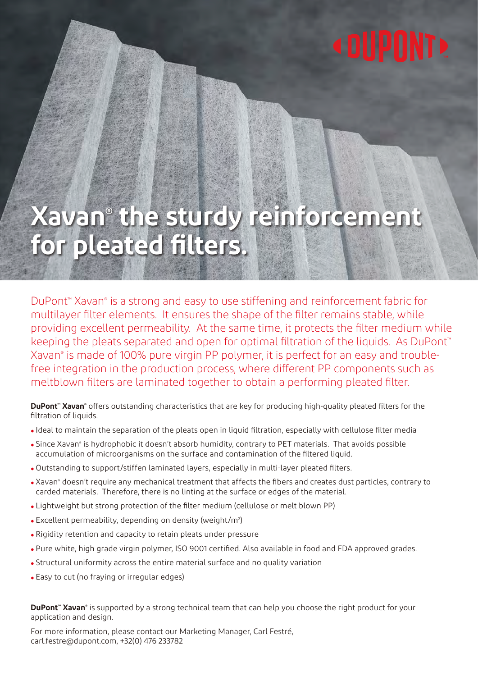# **<DUPONT>**

# **Xavan® the sturdy reinforcement for pleated filters.**

DuPont™ Xavan® is a strong and easy to use stiffening and reinforcement fabric for multilayer filter elements. It ensures the shape of the filter remains stable, while providing excellent permeability. At the same time, it protects the filter medium while keeping the pleats separated and open for optimal filtration of the liquids. As DuPont™ Xavan® is made of 100% pure virgin PP polymer, it is perfect for an easy and troublefree integration in the production process, where different PP components such as meltblown filters are laminated together to obtain a performing pleated filter.

**DuPont<sup>™</sup> Xavan®** offers outstanding characteristics that are key for producing high-quality pleated filters for the filtration of liquids.

- Ideal to maintain the separation of the pleats open in liquid filtration, especially with cellulose filter media
- Since Xavan® is hydrophobic it doesn't absorb humidity, contrary to PET materials. That avoids possible accumulation of microorganisms on the surface and contamination of the filtered liquid.
- Outstanding to support/stiffen laminated layers, especially in multi-layer pleated filters.
- . Xavan<sup>®</sup> doesn't require any mechanical treatment that affects the fibers and creates dust particles, contrary to carded materials. Therefore, there is no linting at the surface or edges of the material.
- Lightweight but strong protection of the filter medium (cellulose or melt blown PP)
- Excellent permeability, depending on density (weight/m2 )
- Rigidity retention and capacity to retain pleats under pressure
- Pure white, high grade virgin polymer, ISO 9001 certified. Also available in food and FDA approved grades.
- Structural uniformity across the entire material surface and no quality variation
- Easy to cut (no fraying or irregular edges)

**DuPont™ Xavan®** is supported by a strong technical team that can help you choose the right product for your application and design.

For more information, please contact our Marketing Manager, Carl Festré, carl.festre@dupont.com, +32(0) 476 233782